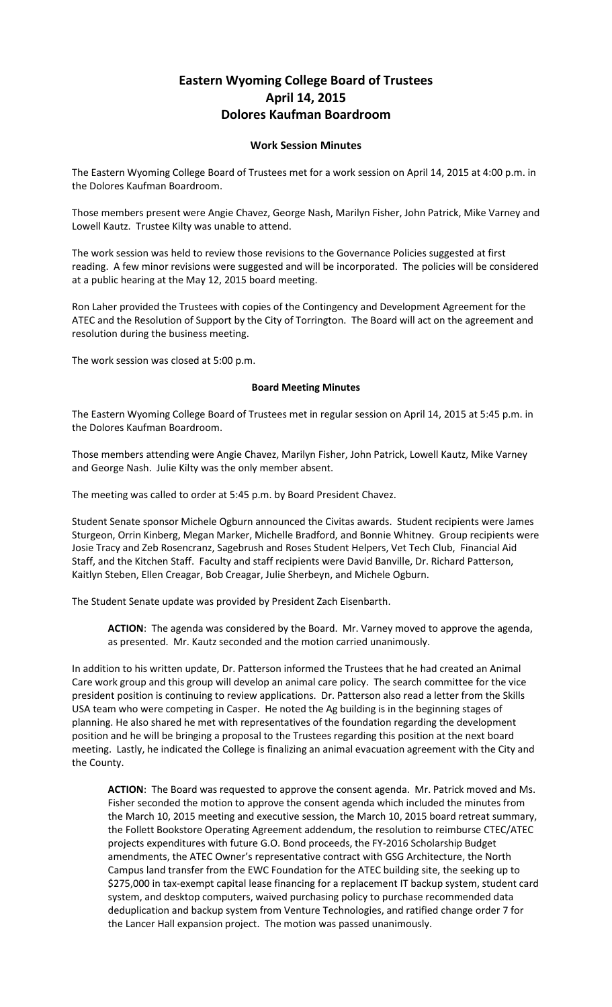## **Eastern Wyoming College Board of Trustees April 14, 2015 Dolores Kaufman Boardroom**

## **Work Session Minutes**

The Eastern Wyoming College Board of Trustees met for a work session on April 14, 2015 at 4:00 p.m. in the Dolores Kaufman Boardroom.

Those members present were Angie Chavez, George Nash, Marilyn Fisher, John Patrick, Mike Varney and Lowell Kautz. Trustee Kilty was unable to attend.

The work session was held to review those revisions to the Governance Policies suggested at first reading. A few minor revisions were suggested and will be incorporated. The policies will be considered at a public hearing at the May 12, 2015 board meeting.

Ron Laher provided the Trustees with copies of the Contingency and Development Agreement for the ATEC and the Resolution of Support by the City of Torrington. The Board will act on the agreement and resolution during the business meeting.

The work session was closed at 5:00 p.m.

## **Board Meeting Minutes**

The Eastern Wyoming College Board of Trustees met in regular session on April 14, 2015 at 5:45 p.m. in the Dolores Kaufman Boardroom.

Those members attending were Angie Chavez, Marilyn Fisher, John Patrick, Lowell Kautz, Mike Varney and George Nash. Julie Kilty was the only member absent.

The meeting was called to order at 5:45 p.m. by Board President Chavez.

Student Senate sponsor Michele Ogburn announced the Civitas awards. Student recipients were James Sturgeon, Orrin Kinberg, Megan Marker, Michelle Bradford, and Bonnie Whitney. Group recipients were Josie Tracy and Zeb Rosencranz, Sagebrush and Roses Student Helpers, Vet Tech Club, Financial Aid Staff, and the Kitchen Staff. Faculty and staff recipients were David Banville, Dr. Richard Patterson, Kaitlyn Steben, Ellen Creagar, Bob Creagar, Julie Sherbeyn, and Michele Ogburn.

The Student Senate update was provided by President Zach Eisenbarth.

**ACTION**: The agenda was considered by the Board. Mr. Varney moved to approve the agenda, as presented. Mr. Kautz seconded and the motion carried unanimously.

In addition to his written update, Dr. Patterson informed the Trustees that he had created an Animal Care work group and this group will develop an animal care policy. The search committee for the vice president position is continuing to review applications. Dr. Patterson also read a letter from the Skills USA team who were competing in Casper. He noted the Ag building is in the beginning stages of planning. He also shared he met with representatives of the foundation regarding the development position and he will be bringing a proposal to the Trustees regarding this position at the next board meeting. Lastly, he indicated the College is finalizing an animal evacuation agreement with the City and the County.

**ACTION**: The Board was requested to approve the consent agenda. Mr. Patrick moved and Ms. Fisher seconded the motion to approve the consent agenda which included the minutes from the March 10, 2015 meeting and executive session, the March 10, 2015 board retreat summary, the Follett Bookstore Operating Agreement addendum, the resolution to reimburse CTEC/ATEC projects expenditures with future G.O. Bond proceeds, the FY-2016 Scholarship Budget amendments, the ATEC Owner's representative contract with GSG Architecture, the North Campus land transfer from the EWC Foundation for the ATEC building site, the seeking up to \$275,000 in tax-exempt capital lease financing for a replacement IT backup system, student card system, and desktop computers, waived purchasing policy to purchase recommended data deduplication and backup system from Venture Technologies, and ratified change order 7 for the Lancer Hall expansion project. The motion was passed unanimously.